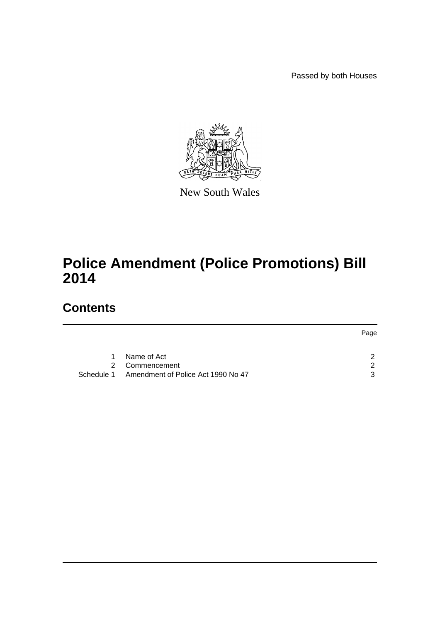Passed by both Houses



New South Wales

## **Police Amendment (Police Promotions) Bill 2014**

## **Contents**

|            |                                    | Page |
|------------|------------------------------------|------|
|            |                                    |      |
| 1          | Name of Act                        |      |
|            | 2 Commencement                     |      |
| Schedule 1 | Amendment of Police Act 1990 No 47 | ີ    |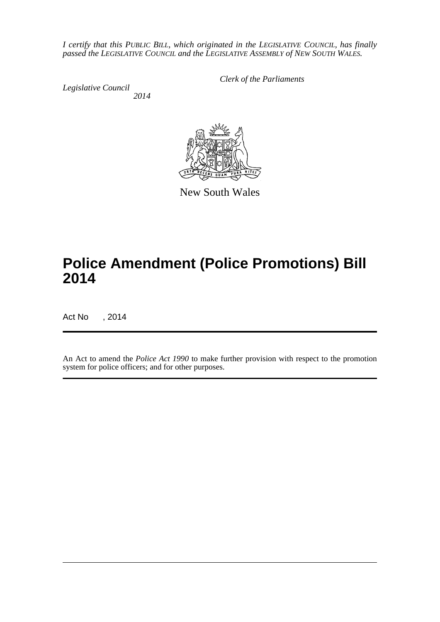*I certify that this PUBLIC BILL, which originated in the LEGISLATIVE COUNCIL, has finally passed the LEGISLATIVE COUNCIL and the LEGISLATIVE ASSEMBLY of NEW SOUTH WALES.*

*Legislative Council 2014* *Clerk of the Parliaments*



New South Wales

# **Police Amendment (Police Promotions) Bill 2014**

Act No , 2014

An Act to amend the *Police Act 1990* to make further provision with respect to the promotion system for police officers; and for other purposes.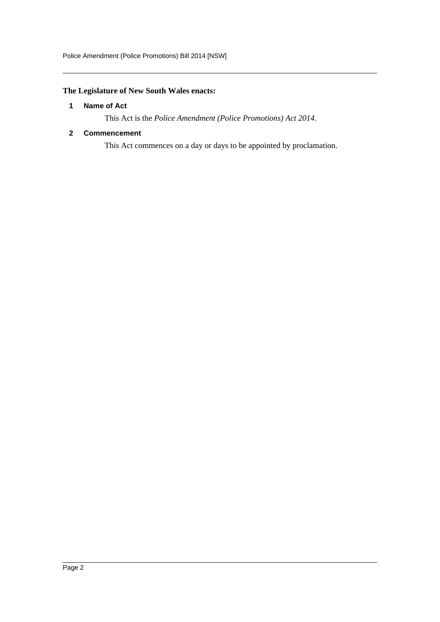### <span id="page-2-0"></span>**The Legislature of New South Wales enacts:**

#### **1 Name of Act**

This Act is the *Police Amendment (Police Promotions) Act 2014*.

#### <span id="page-2-1"></span>**2 Commencement**

This Act commences on a day or days to be appointed by proclamation.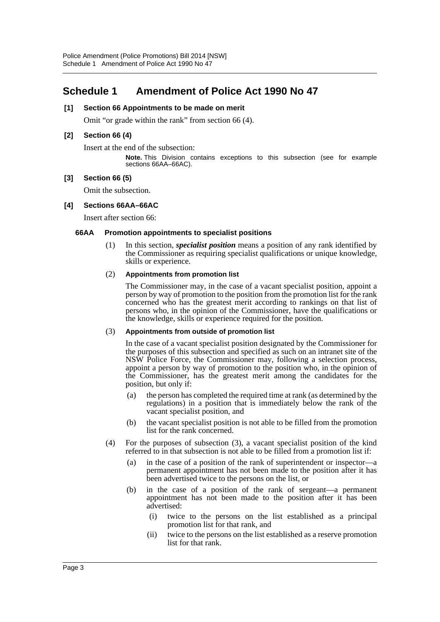### <span id="page-3-0"></span>**Schedule 1 Amendment of Police Act 1990 No 47**

#### **[1] Section 66 Appointments to be made on merit**

Omit "or grade within the rank" from section 66 (4).

#### **[2] Section 66 (4)**

Insert at the end of the subsection:

**Note.** This Division contains exceptions to this subsection (see for example sections 66AA–66AC).

#### **[3] Section 66 (5)**

Omit the subsection.

#### **[4] Sections 66AA–66AC**

Insert after section 66:

#### **66AA Promotion appointments to specialist positions**

(1) In this section, *specialist position* means a position of any rank identified by the Commissioner as requiring specialist qualifications or unique knowledge, skills or experience.

#### (2) **Appointments from promotion list**

The Commissioner may, in the case of a vacant specialist position, appoint a person by way of promotion to the position from the promotion list for the rank concerned who has the greatest merit according to rankings on that list of persons who, in the opinion of the Commissioner, have the qualifications or the knowledge, skills or experience required for the position.

#### (3) **Appointments from outside of promotion list**

In the case of a vacant specialist position designated by the Commissioner for the purposes of this subsection and specified as such on an intranet site of the NSW Police Force, the Commissioner may, following a selection process, appoint a person by way of promotion to the position who, in the opinion of the Commissioner, has the greatest merit among the candidates for the position, but only if:

- (a) the person has completed the required time at rank (as determined by the regulations) in a position that is immediately below the rank of the vacant specialist position, and
- (b) the vacant specialist position is not able to be filled from the promotion list for the rank concerned.
- (4) For the purposes of subsection (3), a vacant specialist position of the kind referred to in that subsection is not able to be filled from a promotion list if:
	- (a) in the case of a position of the rank of superintendent or inspector—a permanent appointment has not been made to the position after it has been advertised twice to the persons on the list, or
	- (b) in the case of a position of the rank of sergeant—a permanent appointment has not been made to the position after it has been advertised:
		- (i) twice to the persons on the list established as a principal promotion list for that rank, and
		- (ii) twice to the persons on the list established as a reserve promotion list for that rank.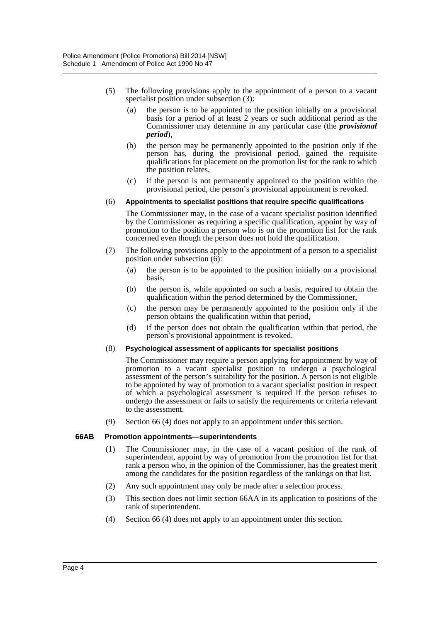- (5) The following provisions apply to the appointment of a person to a vacant specialist position under subsection (3):
	- (a) the person is to be appointed to the position initially on a provisional basis for a period of at least 2 years or such additional period as the Commissioner may determine in any particular case (the *provisional period*),
	- (b) the person may be permanently appointed to the position only if the person has, during the provisional period, gained the requisite qualifications for placement on the promotion list for the rank to which the position relates,
	- (c) if the person is not permanently appointed to the position within the provisional period, the person's provisional appointment is revoked.

#### (6) **Appointments to specialist positions that require specific qualifications**

The Commissioner may, in the case of a vacant specialist position identified by the Commissioner as requiring a specific qualification, appoint by way of promotion to the position a person who is on the promotion list for the rank concerned even though the person does not hold the qualification.

- (7) The following provisions apply to the appointment of a person to a specialist position under subsection (6):
	- (a) the person is to be appointed to the position initially on a provisional basis,
	- (b) the person is, while appointed on such a basis, required to obtain the qualification within the period determined by the Commissioner,
	- (c) the person may be permanently appointed to the position only if the person obtains the qualification within that period,
	- (d) if the person does not obtain the qualification within that period, the person's provisional appointment is revoked.

#### (8) **Psychological assessment of applicants for specialist positions**

The Commissioner may require a person applying for appointment by way of promotion to a vacant specialist position to undergo a psychological assessment of the person's suitability for the position. A person is not eligible to be appointed by way of promotion to a vacant specialist position in respect of which a psychological assessment is required if the person refuses to undergo the assessment or fails to satisfy the requirements or criteria relevant to the assessment.

(9) Section 66 (4) does not apply to an appointment under this section.

#### **66AB Promotion appointments—superintendents**

- (1) The Commissioner may, in the case of a vacant position of the rank of superintendent, appoint by way of promotion from the promotion list for that rank a person who, in the opinion of the Commissioner, has the greatest merit among the candidates for the position regardless of the rankings on that list.
- (2) Any such appointment may only be made after a selection process.
- (3) This section does not limit section 66AA in its application to positions of the rank of superintendent.
- (4) Section 66 (4) does not apply to an appointment under this section.